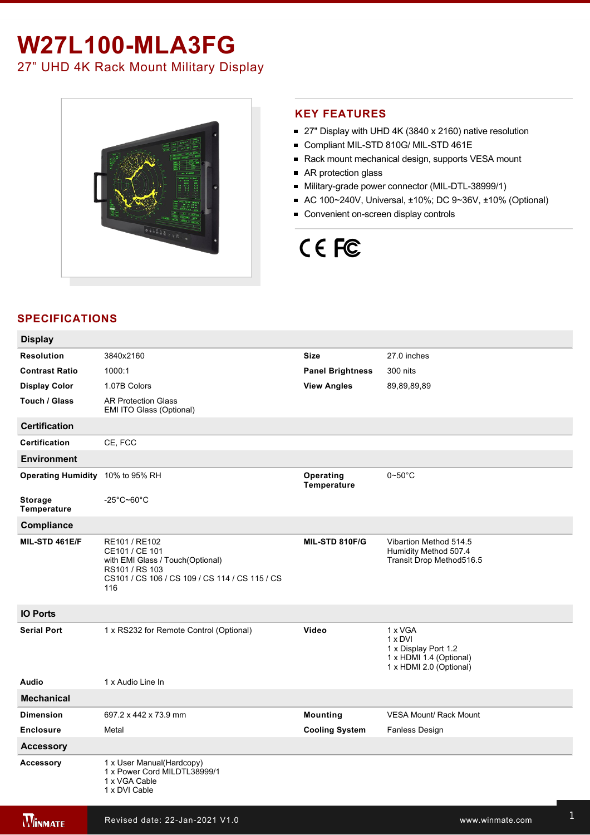# **W27L100-MLA3FG** 27" UHD 4K Rack Mount Military Display



### **KEY FEATURES**

- 27" Display with UHD 4K (3840 x 2160) native resolution
- Compliant MIL-STD 810G/ MIL-STD 461E
- Rack mount mechanical design, supports VESA mount
- AR protection glass
- Military-grade power connector (MIL-DTL-38999/1)
- AC 100~240V, Universal, ±10%; DC 9~36V, ±10% (Optional)
- Convenient on-screen display controls

# CE FC

## **SPECIFICATIONS**

| <b>Display</b>                   |                                                                                                                                                |                          |                                                                                                         |
|----------------------------------|------------------------------------------------------------------------------------------------------------------------------------------------|--------------------------|---------------------------------------------------------------------------------------------------------|
| <b>Resolution</b>                | 3840x2160                                                                                                                                      | <b>Size</b>              | 27.0 inches                                                                                             |
| <b>Contrast Ratio</b>            | 1000:1                                                                                                                                         | <b>Panel Brightness</b>  | 300 nits                                                                                                |
| <b>Display Color</b>             | 1.07B Colors                                                                                                                                   | <b>View Angles</b>       | 89,89,89,89                                                                                             |
| Touch / Glass                    | <b>AR Protection Glass</b><br>EMI ITO Glass (Optional)                                                                                         |                          |                                                                                                         |
| <b>Certification</b>             |                                                                                                                                                |                          |                                                                                                         |
| <b>Certification</b>             | CE, FCC                                                                                                                                        |                          |                                                                                                         |
| <b>Environment</b>               |                                                                                                                                                |                          |                                                                                                         |
| Operating Humidity 10% to 95% RH |                                                                                                                                                | Operating<br>Temperature | $0\neg 50^\circ C$                                                                                      |
| <b>Storage</b><br>Temperature    | $-25^{\circ}$ C~60 $^{\circ}$ C                                                                                                                |                          |                                                                                                         |
| Compliance                       |                                                                                                                                                |                          |                                                                                                         |
| MIL-STD 461E/F                   | RE101 / RE102<br>CE101 / CE 101<br>with EMI Glass / Touch(Optional)<br>RS101 / RS 103<br>CS101 / CS 106 / CS 109 / CS 114 / CS 115 / CS<br>116 | MIL-STD 810F/G           | Vibartion Method 514.5<br>Humidity Method 507.4<br>Transit Drop Method516.5                             |
| <b>IO Ports</b>                  |                                                                                                                                                |                          |                                                                                                         |
| <b>Serial Port</b>               | 1 x RS232 for Remote Control (Optional)                                                                                                        | Video                    | 1 x VGA<br>$1 \times DVI$<br>1 x Display Port 1.2<br>1 x HDMI 1.4 (Optional)<br>1 x HDMI 2.0 (Optional) |
| Audio                            | 1 x Audio Line In                                                                                                                              |                          |                                                                                                         |
| <b>Mechanical</b>                |                                                                                                                                                |                          |                                                                                                         |
| <b>Dimension</b>                 | 697.2 x 442 x 73.9 mm                                                                                                                          | <b>Mounting</b>          | <b>VESA Mount/ Rack Mount</b>                                                                           |
| <b>Enclosure</b>                 | Metal                                                                                                                                          | <b>Cooling System</b>    | Fanless Design                                                                                          |
| <b>Accessory</b>                 |                                                                                                                                                |                          |                                                                                                         |
| <b>Accessory</b>                 | 1 x User Manual(Hardcopy)<br>1 x Power Cord MILDTL38999/1<br>1 x VGA Cable<br>1 x DVI Cable                                                    |                          |                                                                                                         |